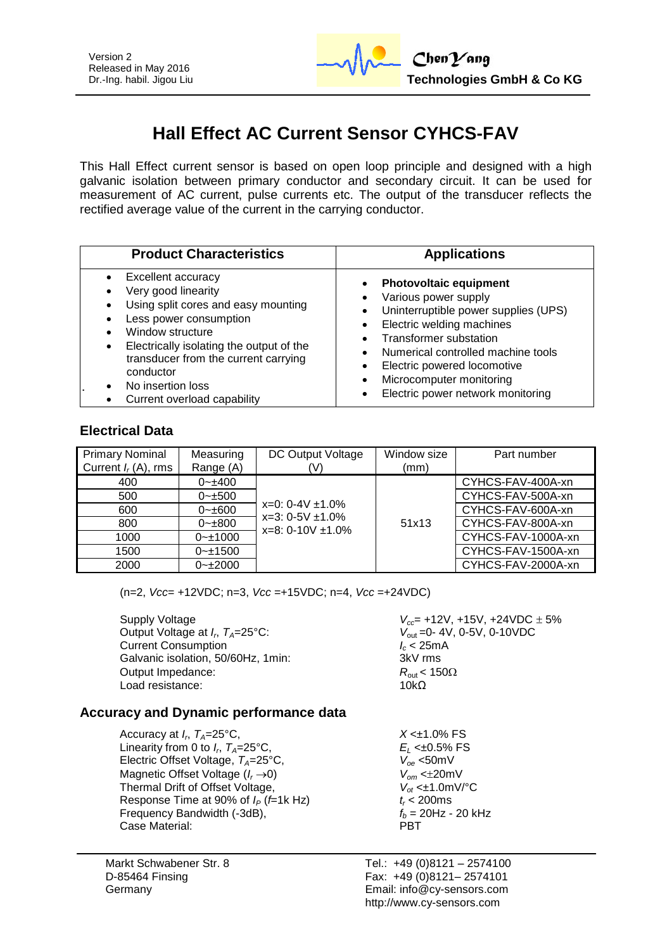

# **Hall Effect AC Current Sensor CYHCS-FAV**

This Hall Effect current sensor is based on open loop principle and designed with a high galvanic isolation between primary conductor and secondary circuit. It can be used for measurement of AC current, pulse currents etc. The output of the transducer reflects the rectified average value of the current in the carrying conductor.

| <b>Product Characteristics</b>                                                                                                                                                                                                                                                                                       | <b>Applications</b>                                                                                                                                                                                                                                                                               |
|----------------------------------------------------------------------------------------------------------------------------------------------------------------------------------------------------------------------------------------------------------------------------------------------------------------------|---------------------------------------------------------------------------------------------------------------------------------------------------------------------------------------------------------------------------------------------------------------------------------------------------|
| <b>Excellent accuracy</b><br>Very good linearity<br>Using split cores and easy mounting<br>Less power consumption<br>Window structure<br>Electrically isolating the output of the<br>$\bullet$<br>transducer from the current carrying<br>conductor<br>No insertion loss<br>$\bullet$<br>Current overload capability | <b>Photovoltaic equipment</b><br>Various power supply<br>Uninterruptible power supplies (UPS)<br>Electric welding machines<br><b>Transformer substation</b><br>Numerical controlled machine tools<br>Electric powered locomotive<br>Microcomputer monitoring<br>Electric power network monitoring |

#### **Electrical Data**

| <b>Primary Nominal</b><br>Current $I_r(A)$ , rms | Measuring<br>Range (A) | DC Output Voltage<br>(V)                                                  | Window size<br>(mm) | Part number        |
|--------------------------------------------------|------------------------|---------------------------------------------------------------------------|---------------------|--------------------|
| 400                                              | $0 - \pm 400$          |                                                                           |                     | CYHCS-FAV-400A-xn  |
| 500                                              | $0 - \pm 500$          | $x=0$ : 0-4V $\pm$ 1.0%<br>$x=3:0-5V \pm 1.0\%$<br>$x=8: 0-10V \pm 1.0\%$ |                     | CYHCS-FAV-500A-xn  |
| 600                                              | $0 - \pm 600$          |                                                                           | 51x13               | CYHCS-FAV-600A-xn  |
| 800                                              | $0 - \pm 800$          |                                                                           |                     | CYHCS-FAV-800A-xn  |
| 1000                                             | $0 - 1000$             |                                                                           |                     | CYHCS-FAV-1000A-xn |
| 1500                                             | $0 - 1500$             |                                                                           |                     | CYHCS-FAV-1500A-xn |
| 2000                                             | $0 - 2000$             |                                                                           |                     | CYHCS-FAV-2000A-xn |

(n=2, *Vcc*= +12VDC; n=3, *Vcc* =+15VDC; n=4, *Vcc* =+24VDC)

Supply Voltage *Vcc*= +12V, +15V, +24VDC 5% Output Voltage at *I<sub>p</sub>*,  $T_A=25^{\circ}$ C: Current Consumption<br>Galvanic isolation, 50/60Hz, 1min:<br>3kV rms Galvanic isolation, 50/60Hz, 1min: Output Impedance: *R*<sub>out</sub> < 150Ω<br>Load resistance: 10kO Load resistance:

*V*<sub>out</sub> = 0-4V, 0-5V, 0-10VDC<br>*I<sub>c</sub>* < 25mA

#### **Accuracy and Dynamic performance data**

Accuracy at *I<sub>p</sub>*,  $T_A=25^{\circ}C$ , Linearity from 0 to  $I_{r}$ ,  $T_{4}=25^{\circ}$ C, Electric Offset Voltage,  $T_A = 25^{\circ}$ C,  $V_{oe} < 50$ mV<br>Magnetic Offset Voltage ( $I_r \rightarrow 0$ )  $V_{om} < \pm 20$ mV Magnetic Offset Voltage ( $I_r \rightarrow 0$ )<br>Thermal Drift of Offset Voltage,  $V_{of} \le \pm 1.0 \text{mV} / ^{\circ}\text{C}$ Thermal Drift of Offset Voltage,  $V_{ot} \leq \pm 1.0$ m<br>Response Time at 90% of  $I_P$  (*f*=1k Hz)  $t_r < 200$ ms Response Time at 90% of  $I_P$  (*f*=1k Hz)  $t_r$  < 200ms<br>Frequency Bandwidth (-3dB),  $f_h$  = 20Hz - 20 kHz Frequency Bandwidth (-3dB),  $f_b = 2$ <br>Case Material: **PBT** Case Material:

Markt Schwabener Str. 8 D-85464 Finsing Germany

 $X < \pm 1.0\%$  FS , *TA*=25°C, *E<sup>L</sup>* <±0.5% FS

Tel.: +49 (0)8121 – 2574100 Fax: +49 (0)8121– 2574101 Email: info@cy-sensors.com http://www.cy-sensors.com